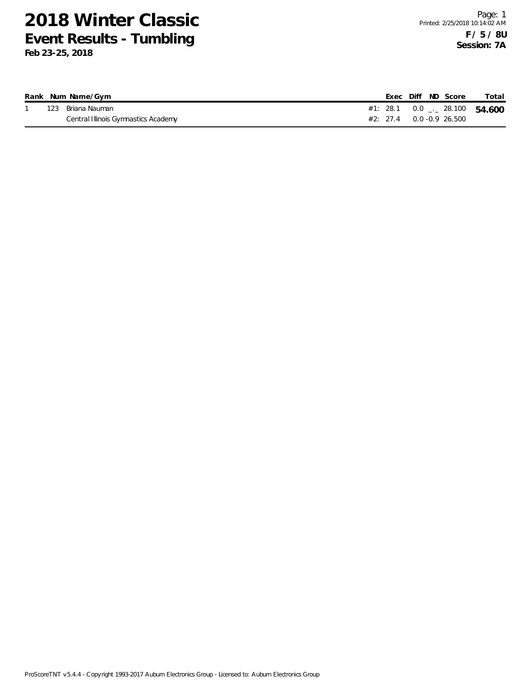|  | Rank Num Name/Gym                   | Exec Diff ND Score                       | Total |
|--|-------------------------------------|------------------------------------------|-------|
|  | 123 Briana Nauman                   | #1: 28.1 0.0 $\frac{1}{2}$ 28.100 54.600 |       |
|  | Central Illinois Gymnastics Academy | $\#2$ : 27.4 0.0 -0.9 26.500             |       |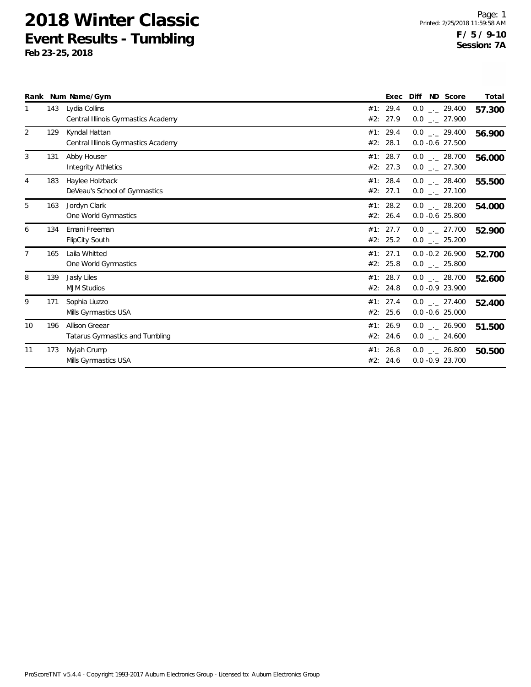|    |     | Rank Num Name/Gym                                    |     | Exec                 | ND Score<br>Diff                       | Total  |
|----|-----|------------------------------------------------------|-----|----------------------|----------------------------------------|--------|
|    | 143 | Lydia Collins<br>Central Illinois Gymnastics Academy |     | #1: 29.4<br>#2: 27.9 | $0.0$ _ 29.400<br>$0.0$ _ 27.900       | 57.300 |
| 2  | 129 | Kyndal Hattan<br>Central Illinois Gymnastics Academy | #2: | #1: 29.4<br>28.1     | $0.0$ _._ 29.400<br>$0.0 - 0.6$ 27.500 | 56.900 |
| 3  | 131 | Abby Houser<br><b>Integrity Athletics</b>            |     | #1: 28.7<br>#2: 27.3 | $0.0$ _._ 28.700<br>$0.0$ _ 27.300     | 56.000 |
| 4  | 183 | Haylee Holzback<br>DeVeau's School of Gymnastics     |     | #1: 28.4<br>#2: 27.1 | $0.0$ _._ 28.400<br>$0.0$ _ 27.100     | 55.500 |
| 5  | 163 | Jordyn Clark<br>One World Gymnastics                 |     | #1: 28.2<br>#2: 26.4 | $0.0$ _._ 28.200<br>$0.0 - 0.6$ 25.800 | 54.000 |
| 6  | 134 | Emani Freeman<br><b>FlipCity South</b>               |     | #1: 27.7<br>#2: 25.2 | $0.0$ _._ 27.700<br>$0.0$ _ 25.200     | 52.900 |
| 7  | 165 | Laila Whitted<br>One World Gymnastics                |     | #1: 27.1<br>#2: 25.8 | $0.0 - 0.2 26.900$<br>$0.0$ _ 25.800   | 52.700 |
| 8  | 139 | Jasly Liles<br><b>MJM Studios</b>                    |     | #1: 28.7<br>#2: 24.8 | $0.0$ . 28.700<br>$0.0 - 0.9 23.900$   | 52.600 |
| 9  | 171 | Sophia Liuzzo<br>Mills Gymnastics USA                |     | #1: 27.4<br>#2: 25.6 | $0.0$ _ 27.400<br>$0.0 - 0.6$ 25.000   | 52.400 |
| 10 | 196 | Allison Greear<br>Tatarus Gymnastics and Tumbling    |     | #1: 26.9<br>#2: 24.6 | $0.0$ _._ 26.900<br>$0.0$ _ 24.600     | 51.500 |
| 11 | 173 | Nyjah Crump<br>Mills Gymnastics USA                  |     | #1: 26.8<br>#2: 24.6 | $0.0$ _._ 26.800<br>$0.0 - 0.9 23.700$ | 50.500 |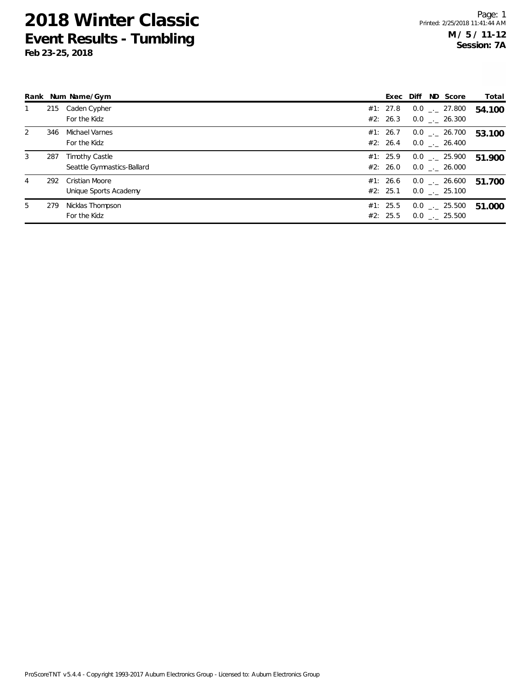|   |     | Rank Num Name/Gym                                   |                      |  | Exec Diff ND Score                        | Total  |
|---|-----|-----------------------------------------------------|----------------------|--|-------------------------------------------|--------|
| 1 |     | 215 Caden Cypher<br>For the Kidz                    | #1: 27.8             |  | $0.0$ _._ 27.800<br>#2: 26.3 0.0 . 26.300 | 54.100 |
| 2 | 346 | Michael Varnes<br>For the Kidz                      | #1: 26.7<br>#2: 26.4 |  | $0.0$ _._ 26.700<br>$0.0$ _._ 26.400      | 53.100 |
| 3 | 287 | <b>Timothy Castle</b><br>Seattle Gymnastics-Ballard | #1: 25.9<br>#2: 26.0 |  | $0.0$ _._ 25.900<br>$0.0$ _._ 26.000      | 51.900 |
| 4 | 292 | Cristian Moore<br>Unique Sports Academy             | #1: 26.6<br>#2: 25.1 |  | $0.0$ _._ 26.600<br>$0.0$ _._ 25.100      | 51.700 |
| 5 | 279 | Nicklas Thompson<br>For the Kidz                    | #1: 25.5<br>#2: 25.5 |  | $0.0$ _._ 25.500<br>$0.0$ . 25.500        | 51.000 |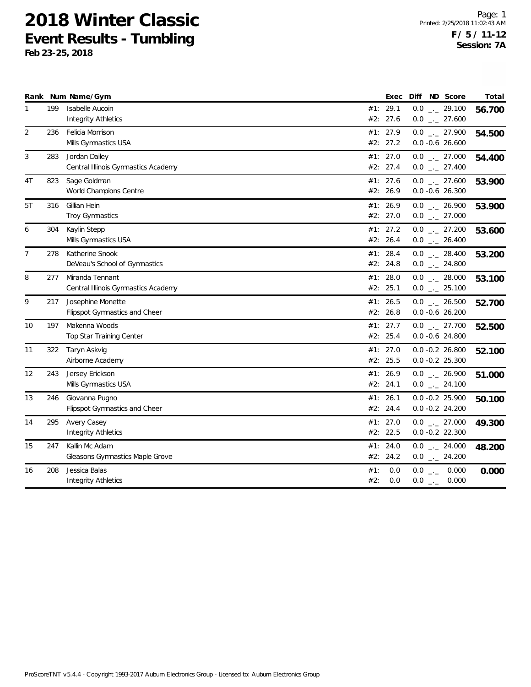|                |     | Rank Num Name/Gym                   |     | Exec     | Diff<br>ND Score      | Total  |
|----------------|-----|-------------------------------------|-----|----------|-----------------------|--------|
| $\mathbf{1}$   | 199 | Isabelle Aucoin                     |     | #1: 29.1 | $0.0$ _ 29.100        | 56.700 |
|                |     | Integrity Athletics                 | #2: | 27.6     | $0.0$ _ 27.600        |        |
| $\overline{2}$ | 236 | Felicia Morrison                    |     | #1: 27.9 | $0.0$ _ 27.900        | 54.500 |
|                |     | Mills Gymnastics USA                |     | #2: 27.2 | $0.0 -0.6$ 26.600     |        |
| 3              | 283 | Jordan Dailey                       |     | #1: 27.0 | $0.0$ _ 27.000        | 54.400 |
|                |     | Central Illinois Gymnastics Academy |     | #2: 27.4 | $0.0$ _ 27.400        |        |
| 4T             | 823 | Sage Goldman                        |     | #1: 27.6 | $0.0$ _ 27.600        | 53.900 |
|                |     | World Champions Centre              |     | #2: 26.9 | $0.0 -0.6$ 26.300     |        |
| 5T             | 316 | Gillian Hein                        |     | #1: 26.9 | $0.0$ _ 26.900        | 53.900 |
|                |     | Troy Gymnastics                     |     | #2: 27.0 | $0.0$ _ 27.000        |        |
| 6              | 304 | Kaylin Stepp                        | #1: | 27.2     | $0.0$ _ 27.200        | 53.600 |
|                |     | Mills Gymnastics USA                | #2: | 26.4     | $0.0$ _ 26.400        |        |
| 7              | 278 | Katherine Snook                     |     | #1: 28.4 | $0.0$ _ 28.400        | 53.200 |
|                |     | DeVeau's School of Gymnastics       |     | #2: 24.8 | $0.0$ _ 24.800        |        |
| 8              | 277 | Miranda Tennant                     |     | #1: 28.0 | $0.0$ _ 28.000        | 53.100 |
|                |     | Central Illinois Gymnastics Academy |     | #2: 25.1 | $0.0$ _ 25.100        |        |
| 9              | 217 | Josephine Monette                   |     | #1: 26.5 | $0.0$ _ 26.500        | 52.700 |
|                |     | Flipspot Gymnastics and Cheer       |     | #2: 26.8 | $0.0 -0.6$ 26.200     |        |
| 10             | 197 | Makenna Woods                       |     | #1: 27.7 | $0.0$ _ 27.700        | 52.500 |
|                |     | Top Star Training Center            |     | #2: 25.4 | $0.0 -0.6$ 24.800     |        |
| 11             | 322 | Taryn Askvig                        |     | #1: 27.0 | $0.0 - 0.2 26.800$    | 52.100 |
|                |     | Airborne Academy                    |     | #2: 25.5 | $0.0 - 0.2 25.300$    |        |
| 12             | 243 | Jersey Erickson                     |     | #1: 26.9 | $0.0$ _ 26.900        | 51.000 |
|                |     | Mills Gymnastics USA                |     | #2: 24.1 | $0.0$ _ 24.100        |        |
| 13             | 246 | Giovanna Pugno                      | #1: | 26.1     | $0.0 -0.2$ 25.900     | 50.100 |
|                |     | Flipspot Gymnastics and Cheer       | #2: | 24.4     | $0.0 - 0.2 24.200$    |        |
| 14             | 295 | Avery Casey                         |     | #1: 27.0 | $0.0$ _ 27.000        | 49.300 |
|                |     | <b>Integrity Athletics</b>          |     | #2: 22.5 | $0.0 -0.2$ 22.300     |        |
| 15             | 247 | Kallin Mc Adam                      | #1: | 24.0     | $0.0$ _ 24.000        | 48.200 |
|                |     | Gleasons Gymnastics Maple Grove     | #2: | 24.2     | $0.0$ _ 24.200        |        |
| 16             | 208 | Jessica Balas                       | #1: | 0.0      | $0.0$ _-<br>0.000     | 0.000  |
|                |     | <b>Integrity Athletics</b>          | #2: | 0.0      | $0.0$ $_{-}$<br>0.000 |        |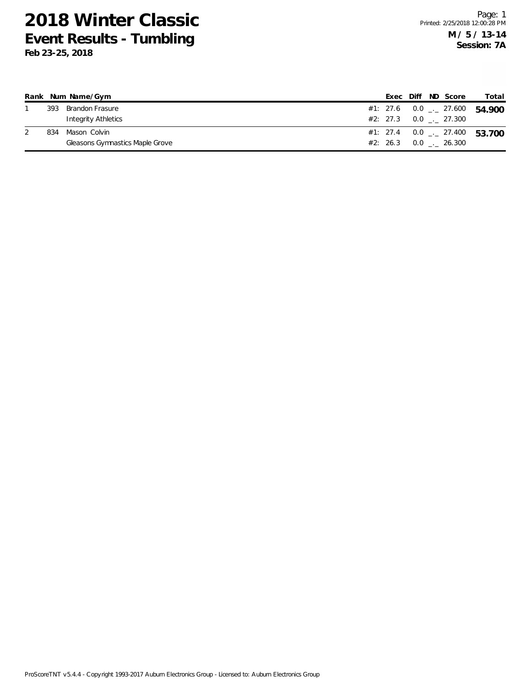| Rank |     | Num Name/Gym                    |  |  | Exec Diff ND Score                   | Total                                      |
|------|-----|---------------------------------|--|--|--------------------------------------|--------------------------------------------|
|      | 393 | Brandon Frasure                 |  |  |                                      | #1: 27.6  0.0 $\frac{1}{2}$ 27.600  54.900 |
|      |     | Integrity Athletics             |  |  | $\#2: 27.3 \qquad 0.0 \qquad 27.300$ |                                            |
|      | 834 | Mason Colvin                    |  |  |                                      | #1: 27.4 $0.0 - 27.400$ 53.700             |
|      |     | Gleasons Gymnastics Maple Grove |  |  | $#2: 26.3 0.0$ $-.26.300$            |                                            |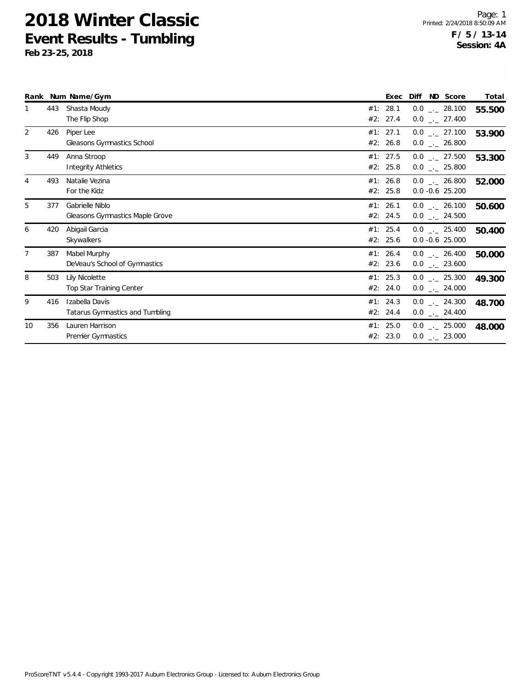|                |     | Rank Num Name/Gym                                  | Exec                 | Diff | ND Score                               | Total  |
|----------------|-----|----------------------------------------------------|----------------------|------|----------------------------------------|--------|
|                | 443 | Shasta Moudy<br>The Flip Shop                      | #1: 28.1<br>#2: 27.4 |      | $0.0$ _ 28.100<br>$0.0$ _ 27.400       | 55.500 |
| 2              | 426 | Piper Lee<br>Gleasons Gymnastics School            | #1: 27.1<br>#2: 26.8 |      | $0.0$ _ 27.100<br>$0.0$ _ 26.800       | 53.900 |
| 3              | 449 | Anna Stroop<br>Integrity Athletics                 | #1: 27.5<br>#2: 25.8 |      | $0.0$ _ 27.500<br>$0.0$ _ 25.800       | 53.300 |
| 4              | 493 | Natalie Vezina<br>For the Kidz                     | #1: 26.8<br>#2: 25.8 |      | $0.0$ _._ 26.800<br>$0.0 - 0.6$ 25.200 | 52.000 |
| 5              | 377 | Gabrielle Niblo<br>Gleasons Gymnastics Maple Grove | #1: 26.1<br>#2: 24.5 |      | $0.0$ _._ 26.100<br>$0.0$ _ 24.500     | 50.600 |
| 6              | 420 | Abigail Garcia<br>Skywalkers                       | #1: 25.4<br>#2: 25.6 |      | $0.0$ _._ 25.400<br>$0.0 - 0.6$ 25.000 | 50.400 |
| $\overline{7}$ | 387 | Mabel Murphy<br>DeVeau's School of Gymnastics      | #1: 26.4<br>#2: 23.6 |      | $0.0$ . 26.400<br>$0.0$ _ 23.600       | 50.000 |
| 8              | 503 | Lily Nicolette<br>Top Star Training Center         | #1: 25.3<br>#2: 24.0 |      | $0.0$ _ 25.300<br>$0.0$ _ 24.000       | 49.300 |
| 9              | 416 | Izabella Davis<br>Tatarus Gymnastics and Tumbling  | #1: 24.3<br>#2: 24.4 |      | $0.0$ _._ 24.300<br>$0.0$ _ 24.400     | 48.700 |
| 10             | 356 | Lauren Harrison<br><b>Premier Gymnastics</b>       | #1: 25.0<br>#2: 23.0 |      | $0.0$ _ 25.000<br>$0.0$ _ 23.000       | 48.000 |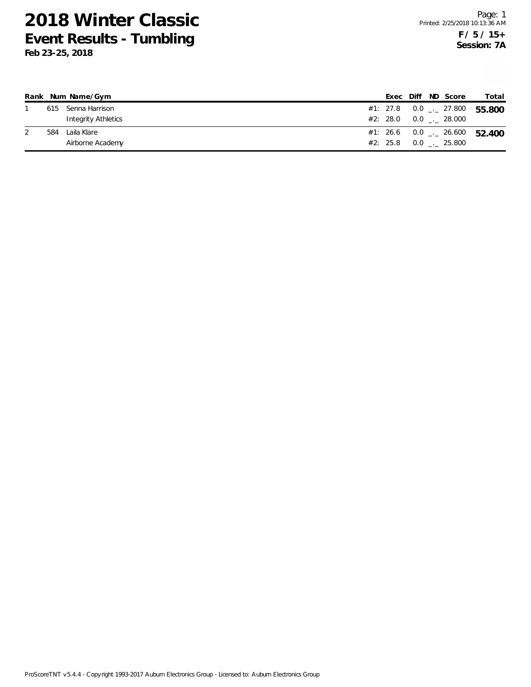|     | Rank Num Name/Gym   |  |  | Exec Diff ND Score      | Total                                      |
|-----|---------------------|--|--|-------------------------|--------------------------------------------|
|     | 615 Senna Harrison  |  |  | #1: 27.8 0.0 _._ 27.800 | 55.800                                     |
|     | Integrity Athletics |  |  | #2: 28.0 0.0 0.28.000   |                                            |
| 584 | Laila Klare         |  |  |                         | #1: 26.6  0.0 $\frac{1}{2}$ 26.600  52.400 |
|     | Airborne Academy    |  |  | #2: 25.8 0.0 . 25.800   |                                            |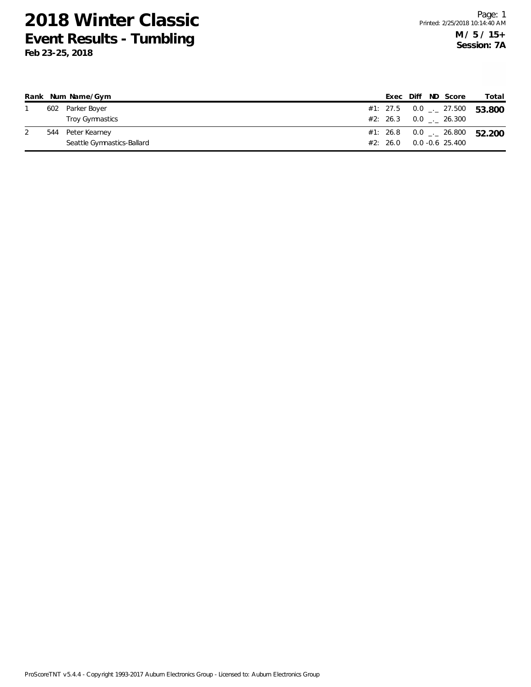|     | Rank Num Name/Gym          |          |  | Exec Diff ND Score            | Total  |
|-----|----------------------------|----------|--|-------------------------------|--------|
| 602 | Parker Boyer               |          |  | #1: 27.5 $0.0$ $_{-.}$ 27.500 | 53.800 |
|     | Troy Gymnastics            |          |  | $#2: 26.3 \t 0.0 \t . 26.300$ |        |
| 544 | Peter Kearney              |          |  | #1: 26.8 0.0 $\_\cdot$ 26.800 | 52.200 |
|     | Seattle Gymnastics-Ballard | #2: 26.0 |  | 0.0 -0.6 25.400               |        |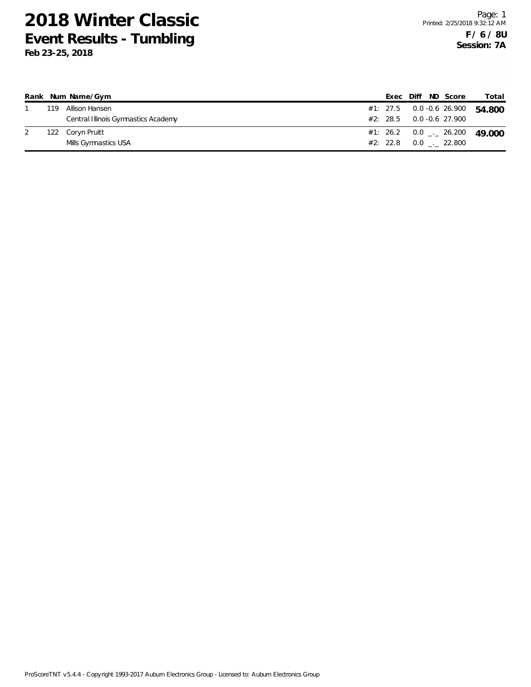|     | Rank Num Name/Gym                   |  |  | Exec Diff ND Score           | Total                                    |
|-----|-------------------------------------|--|--|------------------------------|------------------------------------------|
| 119 | Allison Hansen                      |  |  |                              | #1: 27.5  0.0 -0.6  26.900  54.800       |
|     | Central Illinois Gymnastics Academy |  |  | $\#2$ : 28.5 0.0 -0.6 27.900 |                                          |
|     | 122 Coryn Pruitt                    |  |  |                              | #1: 26.2 0.0 $\frac{1}{2}$ 26.200 49,000 |
|     | Mills Gymnastics USA                |  |  | $#2: 22.8$ 0.0 . 22.800      |                                          |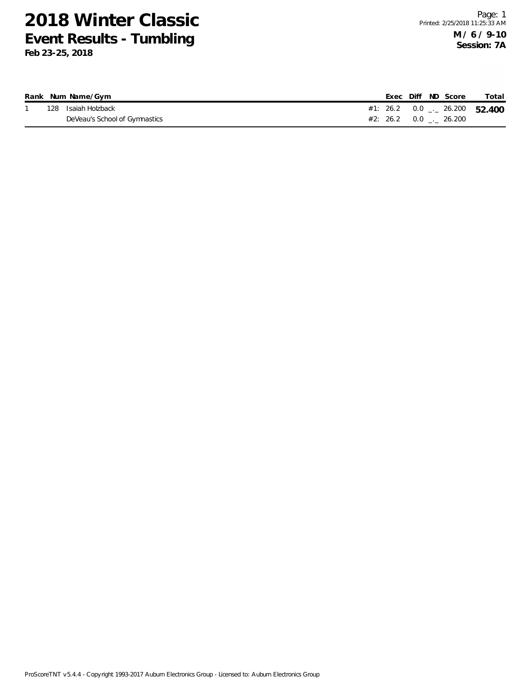|  | Rank Num Name/Gym             |  | Exec Diff ND Score                  | Total |
|--|-------------------------------|--|-------------------------------------|-------|
|  | 128 Isaiah Holzback           |  | #1: 26.2 0.0 $\ldots$ 26.200 52.400 |       |
|  | DeVeau's School of Gymnastics |  |                                     |       |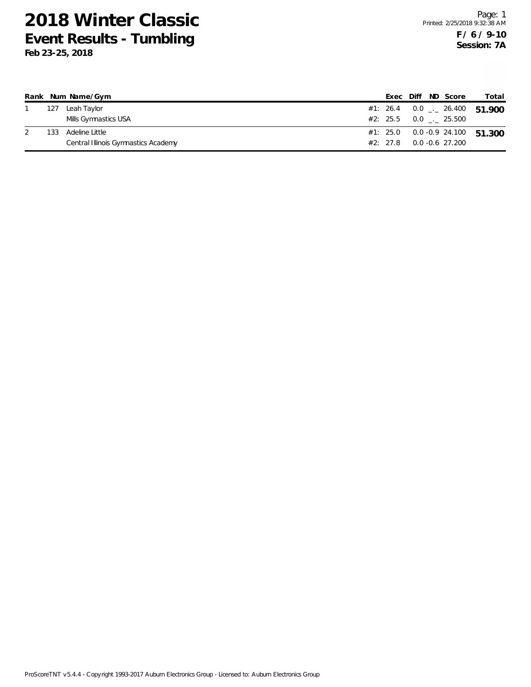|     | Rank Num Name/Gym                   |          |  | Exec Diff ND Score    | Total                             |
|-----|-------------------------------------|----------|--|-----------------------|-----------------------------------|
| 127 | Leah Taylor                         |          |  |                       | #1: 26.4 0.0 $-$ 26.400 51.900    |
|     | Mills Gymnastics USA                |          |  | #2: 25.5 0.0 . 25.500 |                                   |
| 133 | Adeline Little                      |          |  |                       | $#1: 25.0$ 0.0 -0.9 24.100 51.300 |
|     | Central Illinois Gymnastics Academy | #2: 27.8 |  | 0.0 -0.6 27.200       |                                   |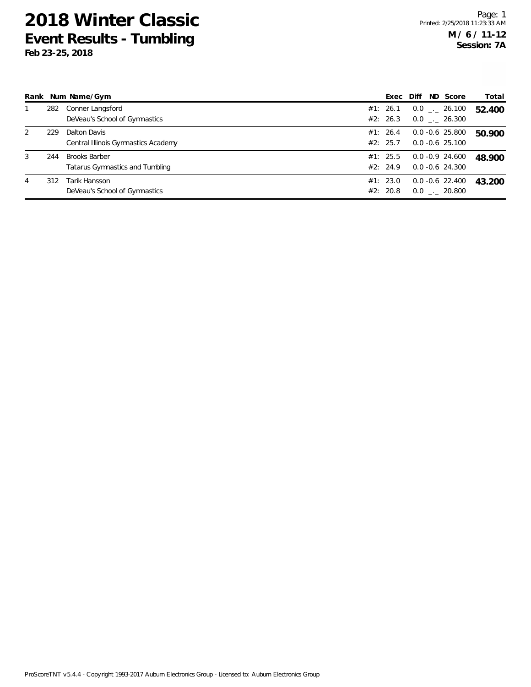**Feb 23-25, 2018**

|   |     | Rank Num Name/Gym                                       |                      | Exec Diff | ND Score                                 | Total  |
|---|-----|---------------------------------------------------------|----------------------|-----------|------------------------------------------|--------|
|   | 282 | Conner Langsford<br>DeVeau's School of Gymnastics       | #1: 26.1<br>#2: 26.3 |           | $0.0$ _ $-26.100$<br>$0.0$ _. 26.300     | 52.400 |
| 2 | 229 | Dalton Davis<br>Central Illinois Gymnastics Academy     | #1: 26.4<br>#2: 25.7 |           | $0.0 - 0.6$ 25.800<br>$0.0 - 0.6$ 25.100 | 50.900 |
| 3 | 244 | <b>Brooks Barber</b><br>Tatarus Gymnastics and Tumbling | #1: 25.5<br>#2: 24.9 |           | $0.0 - 0.9$ 24.600<br>$0.0 - 0.6$ 24.300 | 48.900 |
| 4 | 312 | Tarik Hansson<br>DeVeau's School of Gymnastics          | #1: 23.0<br>#2: 20.8 |           | $0.0 - 0.6$ 22.400<br>$0.0$ _._ 20.800   | 43.200 |

ProScoreTNT v5.4.4 - Copyright 1993-2017 Auburn Electronics Group - Licensed to: Auburn Electronics Group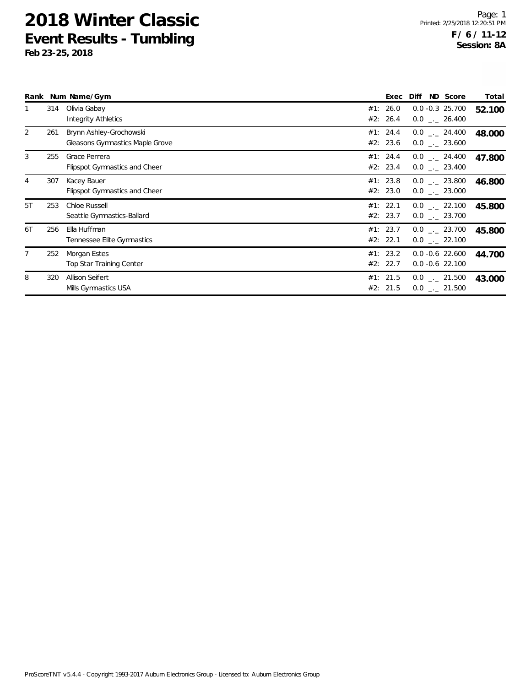|                |     | Rank Num Name/Gym                                          | Exec                 | Diff | ND Score                                       | Total  |
|----------------|-----|------------------------------------------------------------|----------------------|------|------------------------------------------------|--------|
|                | 314 | Olivia Gabay<br><b>Integrity Athletics</b>                 | #1: 26.0<br>#2: 26.4 |      | $0.0 -0.3$ 25.700<br>$0.0$ _._ 26.400          | 52.100 |
| $\overline{2}$ | 261 | Brynn Ashley-Grochowski<br>Gleasons Gymnastics Maple Grove | #1: 24.4<br>#2: 23.6 |      | $0.0$ _._ 24.400<br>$0.0$ _ 23.600             | 48.000 |
| 3              | 255 | Grace Perrera<br>Flipspot Gymnastics and Cheer             | #1: 24.4<br>#2: 23.4 |      | $0.0$ $_{-}$ 24.400<br>$0.0$ . 23.400          | 47.800 |
| 4              | 307 | Kacey Bauer<br><b>Flipspot Gymnastics and Cheer</b>        | #1: 23.8<br>#2: 23.0 |      | $0.0$ _._ 23.800<br>$0.0$ _._ 23.000           | 46.800 |
| 5T             | 253 | Chloe Russell<br>Seattle Gymnastics-Ballard                | #1: 22.1<br>#2: 23.7 |      | $0.0$ $_{-}$ 22.100<br>$0.0$ _._ 23.700        | 45.800 |
| 6T             | 256 | Ella Huffman<br>Tennessee Elite Gymnastics                 | #1: 23.7<br>#2: 22.1 |      | $0.0$ $_{-}$ 23.700<br>$0.0$ _._ 22.100        | 45.800 |
|                | 252 | Morgan Estes<br><b>Top Star Training Center</b>            | #1: 23.2<br>#2: 22.7 |      | $0.0 -0.6$ 22.600<br>$0.0 - 0.6$ 22.100        | 44.700 |
| 8              | 320 | Allison Seifert<br>Mills Gymnastics USA                    | #1: 21.5<br>#2: 21.5 |      | $0.0$ _ 21.500<br>$0.0$ $_{\leftarrow}$ 21.500 | 43.000 |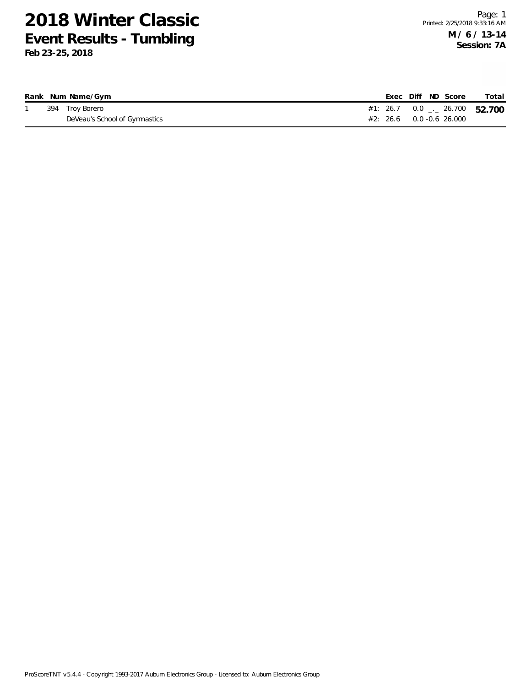|  | Rank Num Name/Gym             |                                   |  | Exec Diff ND Score | Total                         |
|--|-------------------------------|-----------------------------------|--|--------------------|-------------------------------|
|  | 394 Troy Borero               |                                   |  |                    | #1: 26.7 0.0 $-26.700$ 52.700 |
|  | DeVeau's School of Gymnastics | $#2: 26.6 \qquad 0.0 -0.6 26.000$ |  |                    |                               |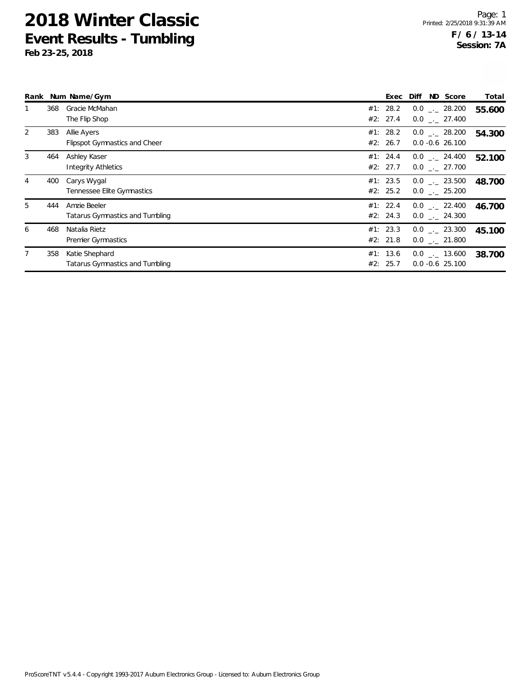|   |     | Rank Num Name/Gym                    | Exec     | Diff               | ND Score | Total  |
|---|-----|--------------------------------------|----------|--------------------|----------|--------|
|   | 368 | Gracie McMahan                       | #1: 28.2 | $0.0$ _ $-$ 28.200 |          | 55.600 |
|   |     | The Flip Shop                        | #2: 27.4 | $0.0$ . 27.400     |          |        |
| 2 | 383 | Allie Ayers                          | #1: 28.2 | $0.0$ _._ 28.200   |          | 54.300 |
|   |     | <b>Flipspot Gymnastics and Cheer</b> | #2: 26.7 | $0.0 - 0.6$ 26.100 |          |        |
| 3 | 464 | Ashley Kaser                         | #1: 24.4 | $0.0$ _._ 24.400   |          | 52.100 |
|   |     | <b>Integrity Athletics</b>           | #2: 27.7 | $0.0$ _._ 27.700   |          |        |
| 4 | 400 | Carys Wygal                          | #1: 23.5 | $0.0$ _._ 23.500   |          | 48.700 |
|   |     | Tennessee Elite Gymnastics           | #2: 25.2 | $0.0$ _. 25.200    |          |        |
| 5 | 444 | Amzie Beeler                         | #1: 22.4 | $0.0$ _. 22.400    |          | 46.700 |
|   |     | Tatarus Gymnastics and Tumbling      | #2: 24.3 | $0.0$ _ 24.300     |          |        |
| 6 | 468 | Natalia Rietz                        | #1: 23.3 | $0.0$ _._ 23.300   |          | 45.100 |
|   |     | Premier Gymnastics                   | #2: 21.8 | $0.0$ _._ 21.800   |          |        |
| 7 | 358 | Katie Shephard                       | #1: 13.6 | $0.0$ _ $-$ 13.600 |          | 38.700 |
|   |     | Tatarus Gymnastics and Tumbling      | #2: 25.7 | $0.0 - 0.6$ 25.100 |          |        |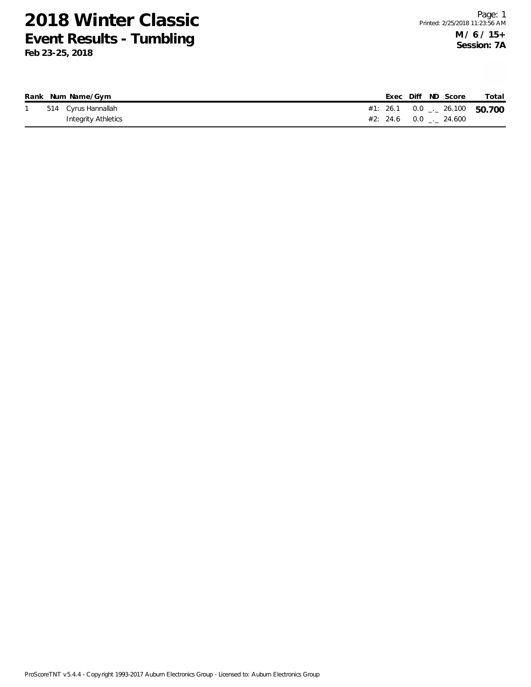|  | Rank Num Name/Gym   |  | Exec Diff ND Score                         | Total |
|--|---------------------|--|--------------------------------------------|-------|
|  | 514 Cyrus Hannallah |  | #1: 26.1  0.0 $\frac{1}{2}$ 26.100  50.700 |       |
|  | Integrity Athletics |  | $#2: 24.6 0.0$ $-24.600$                   |       |